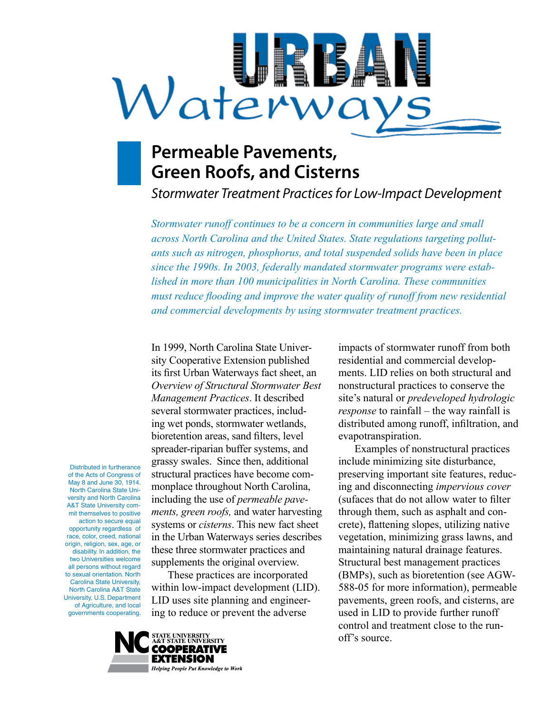# Waterwa

# **Permeable Pavements, Green Roofs, and Cisterns**

*Stormwater Treatment Practices for Low-Impact Development* 

*Stormwater runoff continues to be a concern in communities large and small across North Carolina and the United States. State regulations targeting pollutants such as nitrogen, phosphorus, and total suspended solids have been in place since the 1990s. In 2003, federally mandated stormwater programs were established in more than 100 municipalities in North Carolina. These communities must reduce flooding and improve the water quality of runoff from new residential and commercial developments by using stormwater treatment practices.* 

Distributed in furtherance of the Acts of Congress of May 8 and June 30, 1914. North Carolina State University and North Carolina A&T State University commit themselves to positive action to secure equal opportunity regardless of race, color, creed, national origin, religion, sex, age, or disability. In addition, the two Universities welcome all persons without regard to sexual orientation. North Carolina State University, North Carolina A&T State

University, U.S. Department of Agriculture, and local governments cooperating.

sity Cooperative Extension published residential and commercial develop-*Overview of Structural Stormwater Best* nonstructural practices to conserve the bioretention areas, sand filters, level evapotranspiration. grassy swales. Since then, additional include minimizing site disturbance, these three stormwater practices and maintaining natural drainage features. supplements the original overview. Structural best management practices

ing to reduce or prevent the adverse used in LID to provide further runoff

In 1999, North Carolina State Univer- impacts of stormwater runoff from both its first Urban Waterways fact sheet, an ments. LID relies on both structural and *Management Practices*. It described site's natural or *predeveloped hydrologic*  several stormwater practices, includ- *response* to rainfall – the way rainfall is ing wet ponds, stormwater wetlands, distributed among runoff, infiltration, and

spreader-riparian buffer systems, and Examples of nonstructural practices structural practices have become com- preserving important site features, reducmonplace throughout North Carolina, ing and disconnecting *impervious cover* including the use of *permeable pave-* (sufaces that do not allow water to filter *ments, green roofs,* and water harvesting through them, such as asphalt and consystems or *cisterns*. This new fact sheet crete), flattening slopes, utilizing native in the Urban Waterways series describes vegetation, minimizing grass lawns, and These practices are incorporated (BMPs), such as bioretention (see AGWwithin low-impact development (LID). 588-05 for more information), permeable LID uses site planning and engineer- pavements, green roofs, and cisterns, are control and treatment close to the runoff's source.

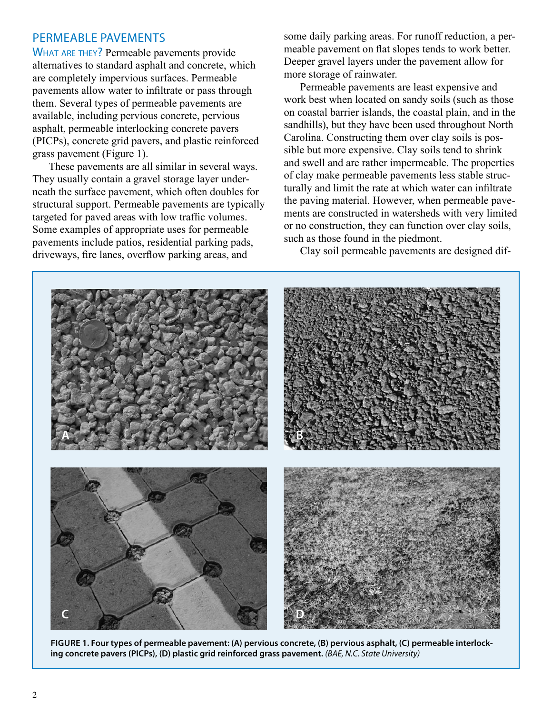### Permeable Pavements

WHAT ARE THEY? Permeable pavements provide alternatives to standard asphalt and concrete, which are completely impervious surfaces. Permeable pavements allow water to infiltrate or pass through them. Several types of permeable pavements are available, including pervious concrete, pervious asphalt, permeable interlocking concrete pavers (PICPs), concrete grid pavers, and plastic reinforced grass pavement (Figure 1).

These pavements are all similar in several ways. They usually contain a gravel storage layer underneath the surface pavement, which often doubles for structural support. Permeable pavements are typically targeted for paved areas with low traffic volumes. Some examples of appropriate uses for permeable pavements include patios, residential parking pads, driveways, fire lanes, overflow parking areas, and

some daily parking areas. For runoff reduction, a permeable pavement on flat slopes tends to work better. Deeper gravel layers under the pavement allow for more storage of rainwater.

Permeable pavements are least expensive and work best when located on sandy soils (such as those on coastal barrier islands, the coastal plain, and in the sandhills), but they have been used throughout North Carolina. Constructing them over clay soils is possible but more expensive. Clay soils tend to shrink and swell and are rather impermeable. The properties of clay make permeable pavements less stable structurally and limit the rate at which water can infiltrate the paving material. However, when permeable pavements are constructed in watersheds with very limited or no construction, they can function over clay soils, such as those found in the piedmont.

Clay soil permeable pavements are designed dif-



**FiGuRe 1. Four types of permeable pavement: (A) pervious concrete, (B) pervious asphalt, (C) permeable interlocking concrete pavers (PiCPs), (D) plastic grid reinforced grass pavement.** *(BAE, N.C. State University)*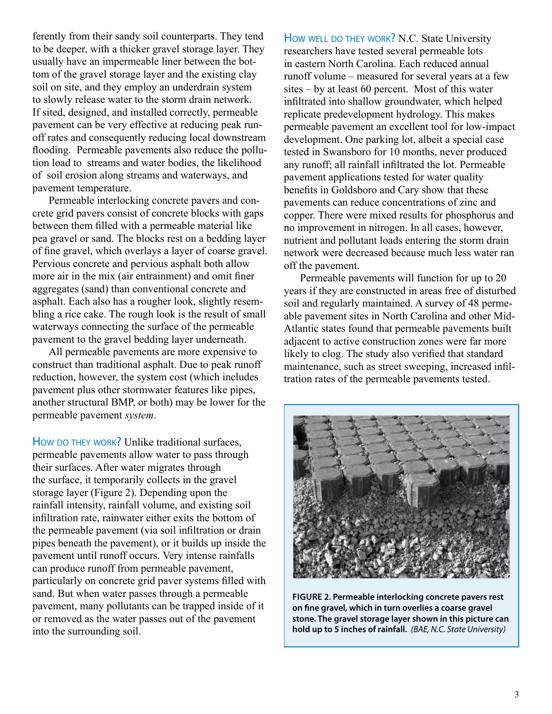ferently from their sandy soil counterparts. They tend to be deeper, with a thicker gravel storage layer. They usually have an impermeable liner between the bottom of the gravel storage layer and the existing clay soil on site, and they employ an underdrain system to slowly release water to the storm drain network. If sited, designed, and installed correctly, permeable pavement can be very effective at reducing peak runoff rates and consequently reducing local downstream flooding. Permeable pavements also reduce the pollution load to streams and water bodies, the likelihood of soil erosion along streams and waterways, and pavement temperature.

Permeable interlocking concrete pavers and concrete grid pavers consist of concrete blocks with gaps between them filled with a permeable material like pea gravel or sand. The blocks rest on a bedding layer of fine gravel, which overlays a layer of coarse gravel. Pervious concrete and pervious asphalt both allow more air in the mix (air entrainment) and omit finer aggregates (sand) than conventional concrete and asphalt. Each also has a rougher look, slightly resembling a rice cake. The rough look is the result of small waterways connecting the surface of the permeable pavement to the gravel bedding layer underneath.

All permeable pavements are more expensive to construct than traditional asphalt. Due to peak runoff reduction, however, the system cost (which includes pavement plus other stormwater features like pipes, another structural BMP, or both) may be lower for the permeable pavement *system*.

How DO THEY WORK? Unlike traditional surfaces, permeable pavements allow water to pass through their surfaces. After water migrates through the surface, it temporarily collects in the gravel storage layer (Figure 2). Depending upon the rainfall intensity, rainfall volume, and existing soil infiltration rate, rainwater either exits the bottom of the permeable pavement (via soil infiltration or drain pipes beneath the pavement), or it builds up inside the pavement until runoff occurs. Very intense rainfalls can produce runoff from permeable pavement, particularly on concrete grid paver systems filled with sand. But when water passes through a permeable pavement, many pollutants can be trapped inside of it or removed as the water passes out of the pavement into the surrounding soil.

How WELL DO THEY WORK? N.C. State University researchers have tested several permeable lots in eastern North Carolina. Each reduced annual runoff volume – measured for several years at a few sites – by at least 60 percent. Most of this water infiltrated into shallow groundwater, which helped replicate predevelopment hydrology. This makes permeable pavement an excellent tool for low-impact development. One parking lot, albeit a special case tested in Swansboro for 10 months, never produced any runoff; all rainfall infiltrated the lot. Permeable pavement applications tested for water quality benefits in Goldsboro and Cary show that these pavements can reduce concentrations of zinc and copper. There were mixed results for phosphorus and no improvement in nitrogen. In all cases, however, nutrient and pollutant loads entering the storm drain network were decreased because much less water ran off the pavement.

Permeable pavements will function for up to 20 years if they are constructed in areas free of disturbed soil and regularly maintained. A survey of 48 permeable pavement sites in North Carolina and other Mid-Atlantic states found that permeable pavements built adjacent to active construction zones were far more likely to clog. The study also verified that standard maintenance, such as street sweeping, increased infiltration rates of the permeable pavements tested.



**FiGuRe 2. Permeable interlocking concrete pavers rest on fine gravel, which in turn overlies a coarse gravel stone. The gravel storage layer shown in this picture can hold up to 5 inches of rainfall.** *(BAE, N.C. State University)*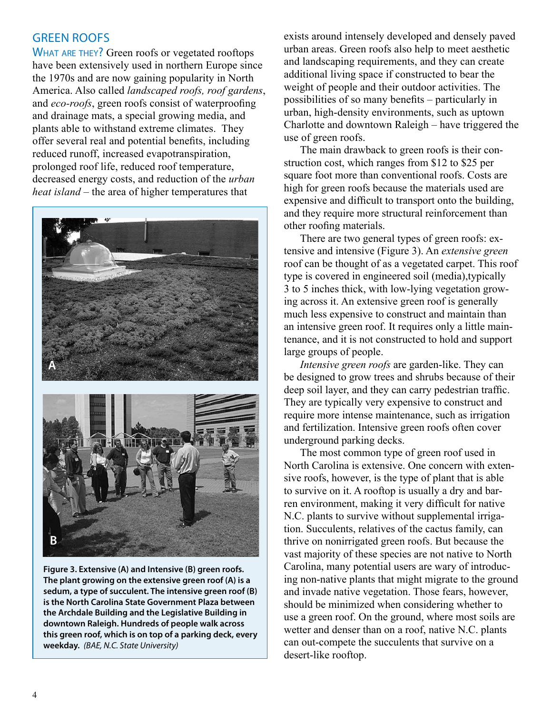WHAT ARE THEY? Green roofs or vegetated rooftops have been extensively used in northern Europe since the 1970s and are now gaining popularity in North America. Also called *landscaped roofs, roof gardens*, and *eco-roofs*, green roofs consist of waterproofing and drainage mats, a special growing media, and plants able to withstand extreme climates. They offer several real and potential benefits, including reduced runoff, increased evapotranspiration, prolonged roof life, reduced roof temperature, decreased energy costs, and reduction of the *urban heat island* – the area of higher temperatures that



**Figure 3. extensive (A) and intensive (B) green roofs. The plant growing on the extensive green roof (A) is a sedum, a type of succulent. The intensive green roof (B) is the North Carolina State Government Plaza between the Archdale Building and the Legislative Building in downtown Raleigh. Hundreds of people walk across this green roof, which is on top of a parking deck, every weekday.** *(BAE, N.C. State University)* 

GREEN ROOFS exists around intensely developed and densely paved urban areas. Green roofs also help to meet aesthetic and landscaping requirements, and they can create additional living space if constructed to bear the weight of people and their outdoor activities. The possibilities of so many benefits – particularly in urban, high-density environments, such as uptown Charlotte and downtown Raleigh – have triggered the use of green roofs.

> The main drawback to green roofs is their construction cost, which ranges from \$12 to \$25 per square foot more than conventional roofs. Costs are high for green roofs because the materials used are expensive and difficult to transport onto the building, and they require more structural reinforcement than other roofing materials.

There are two general types of green roofs: extensive and intensive (Figure 3). An *extensive green*  roof can be thought of as a vegetated carpet. This roof type is covered in engineered soil (media),typically 3 to 5 inches thick, with low-lying vegetation growing across it. An extensive green roof is generally much less expensive to construct and maintain than an intensive green roof. It requires only a little maintenance, and it is not constructed to hold and support large groups of people.

*Intensive green roofs* are garden-like. They can be designed to grow trees and shrubs because of their deep soil layer, and they can carry pedestrian traffic. They are typically very expensive to construct and require more intense maintenance, such as irrigation and fertilization. Intensive green roofs often cover underground parking decks.

The most common type of green roof used in North Carolina is extensive. One concern with extensive roofs, however, is the type of plant that is able to survive on it. A rooftop is usually a dry and barren environment, making it very difficult for native N.C. plants to survive without supplemental irrigation. Succulents, relatives of the cactus family, can thrive on nonirrigated green roofs. But because the vast majority of these species are not native to North Carolina, many potential users are wary of introducing non-native plants that might migrate to the ground and invade native vegetation. Those fears, however, should be minimized when considering whether to use a green roof. On the ground, where most soils are wetter and denser than on a roof, native N.C. plants can out-compete the succulents that survive on a desert-like rooftop.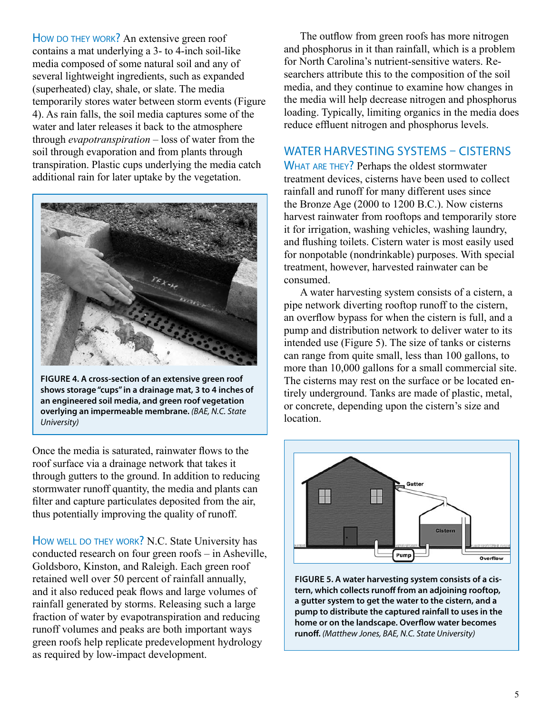How DO THEY WORK? An extensive green roof contains a mat underlying a 3- to 4-inch soil-like media composed of some natural soil and any of several lightweight ingredients, such as expanded (superheated) clay, shale, or slate. The media temporarily stores water between storm events (Figure 4). As rain falls, the soil media captures some of the water and later releases it back to the atmosphere through *evapotranspiration* – loss of water from the soil through evaporation and from plants through transpiration. Plastic cups underlying the media catch additional rain for later uptake by the vegetation.



**FiGuRe 4. A cross-section of an extensive green roof shows storage "cups" in a drainage mat, 3 to 4 inches of an engineered soil media, and green roof vegetation overlying an impermeable membrane.** *(BAE, N.C. State University)* 

Once the media is saturated, rainwater flows to the roof surface via a drainage network that takes it through gutters to the ground. In addition to reducing stormwater runoff quantity, the media and plants can filter and capture particulates deposited from the air, thus potentially improving the quality of runoff.

How WELL DO THEY WORK? N.C. State University has conducted research on four green roofs – in Asheville, Goldsboro, Kinston, and Raleigh. Each green roof retained well over 50 percent of rainfall annually, and it also reduced peak flows and large volumes of rainfall generated by storms. Releasing such a large fraction of water by evapotranspiration and reducing runoff volumes and peaks are both important ways green roofs help replicate predevelopment hydrology as required by low-impact development.

The outflow from green roofs has more nitrogen and phosphorus in it than rainfall, which is a problem for North Carolina's nutrient-sensitive waters. Researchers attribute this to the composition of the soil media, and they continue to examine how changes in the media will help decrease nitrogen and phosphorus loading. Typically, limiting organics in the media does reduce effluent nitrogen and phosphorus levels.

## WATER HARVESTING SYSTEMS - CISTERNS

WHAT ARE THEY? Perhaps the oldest stormwater treatment devices, cisterns have been used to collect rainfall and runoff for many different uses since the Bronze Age (2000 to 1200 B.C.). Now cisterns harvest rainwater from rooftops and temporarily store it for irrigation, washing vehicles, washing laundry, and flushing toilets. Cistern water is most easily used for nonpotable (nondrinkable) purposes. With special treatment, however, harvested rainwater can be consumed.

A water harvesting system consists of a cistern, a pipe network diverting rooftop runoff to the cistern, an overflow bypass for when the cistern is full, and a pump and distribution network to deliver water to its intended use (Figure 5). The size of tanks or cisterns can range from quite small, less than 100 gallons, to more than 10,000 gallons for a small commercial site. The cisterns may rest on the surface or be located entirely underground. Tanks are made of plastic, metal, or concrete, depending upon the cistern's size and location.



**FiGuRe 5. A water harvesting system consists of a cistern, which collects runoff from an adjoining rooftop, a gutter system to get the water to the cistern, and a pump to distribute the captured rainfall to uses in the home or on the landscape. Overflow water becomes runoff.** *(Matthew Jones, BAE, N.C. State University)*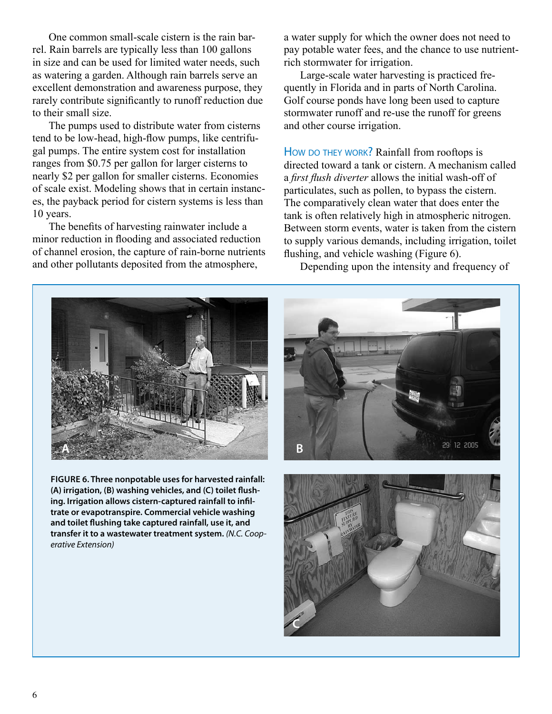One common small-scale cistern is the rain barrel. Rain barrels are typically less than 100 gallons in size and can be used for limited water needs, such as watering a garden. Although rain barrels serve an excellent demonstration and awareness purpose, they rarely contribute significantly to runoff reduction due to their small size.

The pumps used to distribute water from cisterns tend to be low-head, high-flow pumps, like centrifugal pumps. The entire system cost for installation ranges from \$0.75 per gallon for larger cisterns to nearly \$2 per gallon for smaller cisterns. Economies of scale exist. Modeling shows that in certain instances, the payback period for cistern systems is less than 10 years.

The benefits of harvesting rainwater include a minor reduction in flooding and associated reduction of channel erosion, the capture of rain-borne nutrients and other pollutants deposited from the atmosphere,

a water supply for which the owner does not need to pay potable water fees, and the chance to use nutrientrich stormwater for irrigation.

Large-scale water harvesting is practiced frequently in Florida and in parts of North Carolina. Golf course ponds have long been used to capture stormwater runoff and re-use the runoff for greens and other course irrigation.

How DO THEY WORK? Rainfall from rooftops is directed toward a tank or cistern. A mechanism called a *first flush diverter* allows the initial wash-off of particulates, such as pollen, to bypass the cistern. The comparatively clean water that does enter the tank is often relatively high in atmospheric nitrogen. Between storm events, water is taken from the cistern to supply various demands, including irrigation, toilet flushing, and vehicle washing (Figure 6).

Depending upon the intensity and frequency of



**( A) irrigation, (B) washing vehicles, and (C) toilet flush-FiGuRe 6. Three nonpotable uses for harvested rainfall: ing. irrigation allows cistern-captured rainfall to infiltrate or evapotranspire. Commercial vehicle washing and toilet flushing take captured rainfall, use it, and transfer it to a wastewater treatment system.** *(N.C. Cooperative Extension)* 



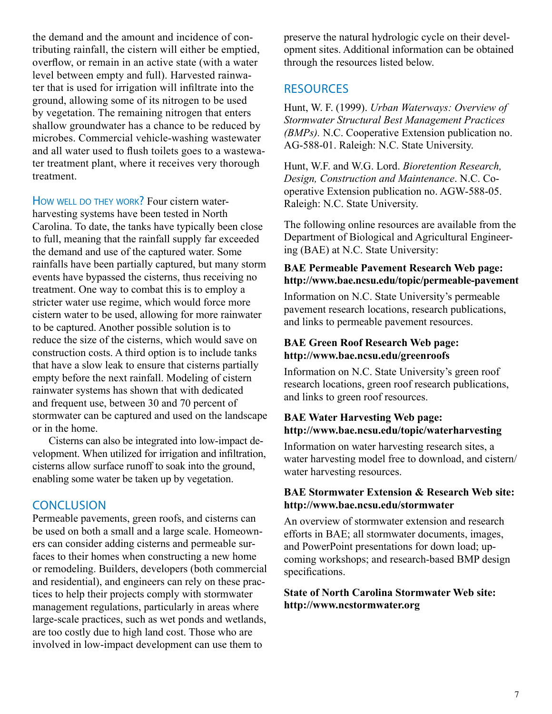the demand and the amount and incidence of contributing rainfall, the cistern will either be emptied, overflow, or remain in an active state (with a water level between empty and full). Harvested rainwater that is used for irrigation will infiltrate into the ground, allowing some of its nitrogen to be used by vegetation. The remaining nitrogen that enters shallow groundwater has a chance to be reduced by microbes. Commercial vehicle-washing wastewater and all water used to flush toilets goes to a wastewater treatment plant, where it receives very thorough treatment.

How WELL DO THEY WORK? Four cistern waterharvesting systems have been tested in North Carolina. To date, the tanks have typically been close to full, meaning that the rainfall supply far exceeded the demand and use of the captured water. Some rainfalls have been partially captured, but many storm events have bypassed the cisterns, thus receiving no treatment. One way to combat this is to employ a stricter water use regime, which would force more cistern water to be used, allowing for more rainwater to be captured. Another possible solution is to reduce the size of the cisterns, which would save on construction costs. A third option is to include tanks that have a slow leak to ensure that cisterns partially empty before the next rainfall. Modeling of cistern rainwater systems has shown that with dedicated and frequent use, between 30 and 70 percent of stormwater can be captured and used on the landscape or in the home.

Cisterns can also be integrated into low-impact development. When utilized for irrigation and infiltration, cisterns allow surface runoff to soak into the ground, enabling some water be taken up by vegetation.

### **CONCLUSION**

Permeable pavements, green roofs, and cisterns can be used on both a small and a large scale. Homeowners can consider adding cisterns and permeable surfaces to their homes when constructing a new home or remodeling. Builders, developers (both commercial and residential), and engineers can rely on these practices to help their projects comply with stormwater management regulations, particularly in areas where large-scale practices, such as wet ponds and wetlands, are too costly due to high land cost. Those who are involved in low-impact development can use them to

preserve the natural hydrologic cycle on their development sites. Additional information can be obtained through the resources listed below.

### **RESOURCES**

Hunt, W. F. (1999). *Urban Waterways: Overview of Stormwater Structural Best Management Practices (BMPs).* N.C. Cooperative Extension publication no. AG-588-01. Raleigh: N.C. State University.

Hunt, W.F. and W.G. Lord. *Bioretention Research, Design, Construction and Maintenance*. N.C. Cooperative Extension publication no. AGW-588-05. Raleigh: N.C. State University.

The following online resources are available from the Department of Biological and Agricultural Engineering (BAE) at N.C. State University:

### **BAE Permeable Pavement Research Web page: http://www.bae.ncsu.edu/topic/permeable-pavement**

Information on N.C. State University's permeable pavement research locations, research publications, and links to permeable pavement resources.

### **BAE Green Roof Research Web page: http://www.bae.ncsu.edu/greenroofs**

Information on N.C. State University's green roof research locations, green roof research publications, and links to green roof resources.

### **BAE Water Harvesting Web page: http://www.bae.ncsu.edu/topic/waterharvesting**

Information on water harvesting research sites, a water harvesting model free to download, and cistern/ water harvesting resources.

### **BAE Stormwater Extension & Research Web site: http://www.bae.ncsu.edu/stormwater**

An overview of stormwater extension and research efforts in BAE; all stormwater documents, images, and PowerPoint presentations for down load; upcoming workshops; and research-based BMP design specifications.

**State of North Carolina Stormwater Web site: http://www.ncstormwater.org**